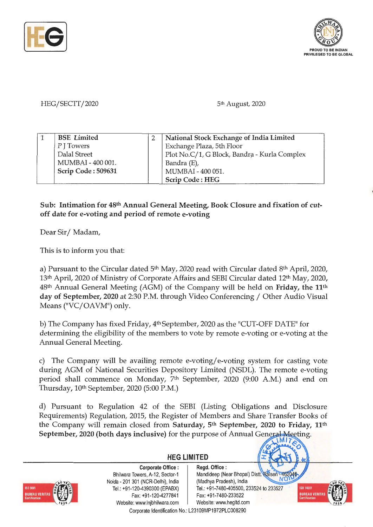



HEG/SECTT/2020

5th August, 2020

| <b>BSE</b> Limited | National Stock Exchange of India Limited     |
|--------------------|----------------------------------------------|
| P J Towers         | Exchange Plaza, 5th Floor                    |
| Dalal Street       | Plot No.C/1, G Block, Bandra - Kurla Complex |
| MUMBAI - 400 001.  | Bandra (E),                                  |
| Scrip Code: 509631 | MUMBAI - 400 051.                            |
|                    | Scrip Code: HEG                              |

## **Sub: Intimation for 48th Annual General Meeting, Book Closure and fixation of cutoff date for e-voting and period of remote e-voting**

Dear Sir/ Madam,

This is to inform you that:

a) Pursuant to the Circular dated 5<sup>th</sup> May, 2020 read with Circular dated 8<sup>th</sup> April, 2020, 13th April, 2020 of Ministry of Corporate Affairs and SEBI Circular dated 12th May, 2020, 48th Annual General Meeting (AGM) of the Company will be held on **Friday, the 11th day of September, 2020** at 2:30 P.M. through Video Conferencing / Other Audio Visual Means ("VC/OAVM") only.

b) The Company has fixed Friday,  $4<sup>th</sup>$  September, 2020 as the "CUT-OFF DATE" for determining the eligibility of the members to vote by remote e-voting or e-voting at the Annual General Meeting.

c) The Company will be availing remote e-voting/ e-voting system for casting vote during AGM of National Securities Depository Limited (NSDL). The remote e-voting period shall commence on Monday, 7th September, 2020 (9:00 A.M.) and end on Thursday, 10th September, 2020 (5:00 P.M.)

d) Pursuant to Regulation 42 of the SEBI (Listing Obligations and Disclosure Requirements) Regulation, 2015, the Register of Members and Share Transfer Books of the Company will remain closed from **Saturday, 5th September, 2020 to Friday, 11th September, 2020 (both days inclusive)** for the purpose of Annual General Meeting.

**HEG LIMITED** 



**Corporate Office** : Bhilwara Towers, A-12, Sector-1 Naida - 201 301 (NCR-Delhi), India Tel.: +91 -120-4390300 (EPABX) Fax: +91 -120-4277841 Website: www.lnjbhilwara.com | Website: www.hegltd.com

**Regd. Office** : Mandideep (Near Bhopal) Listt. Raisen - 46204 (Madhya Pradesh), India Tel. : +91 -7480-405500, 233524 to 233527 Fax: +91 -7480-233522



 $\binom{M}{k}$ 

 $\mathcal{C}$ 

Corporate Identification No.: L23109MP1972PLC008290